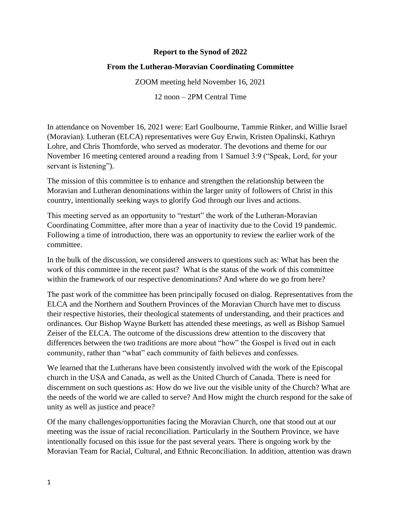## **Report to the Synod of 2022**

## **From the Lutheran-Moravian Coordinating Committee**

ZOOM meeting held November 16, 2021

12 noon – 2PM Central Time

In attendance on November 16, 2021 were: Earl Goulbourne, Tammie Rinker, and Willie Israel (Moravian). Lutheran (ELCA) representatives were Guy Erwin, Kristen Opalinski, Kathryn Lohre, and Chris Thomforde, who served as moderator. The devotions and theme for our November 16 meeting centered around a reading from 1 Samuel 3:9 ("Speak, Lord, for your servant is listening").

The mission of this committee is to enhance and strengthen the relationship between the Moravian and Lutheran denominations within the larger unity of followers of Christ in this country, intentionally seeking ways to glorify God through our lives and actions.

This meeting served as an opportunity to "restart" the work of the Lutheran-Moravian Coordinating Committee, after more than a year of inactivity due to the Covid 19 pandemic. Following a time of introduction, there was an opportunity to review the earlier work of the committee.

In the bulk of the discussion, we considered answers to questions such as: What has been the work of this committee in the recent past? What is the status of the work of this committee within the framework of our respective denominations? And where do we go from here?

The past work of the committee has been principally focused on dialog. Representatives from the ELCA and the Northern and Southern Provinces of the Moravian Church have met to discuss their respective histories, their theological statements of understanding, and their practices and ordinances. Our Bishop Wayne Burkett has attended these meetings, as well as Bishop Samuel Zeiser of the ELCA. The outcome of the discussions drew attention to the discovery that differences between the two traditions are more about "how" the Gospel is lived out in each community, rather than "what" each community of faith believes and confesses.

We learned that the Lutherans have been consistently involved with the work of the Episcopal church in the USA and Canada, as well as the United Church of Canada. There is need for discernment on such questions as: How do we live out the visible unity of the Church? What are the needs of the world we are called to serve? And How might the church respond for the sake of unity as well as justice and peace?

Of the many challenges/opportunities facing the Moravian Church, one that stood out at our meeting was the issue of racial reconciliation. Particularly in the Southern Province, we have intentionally focused on this issue for the past several years. There is ongoing work by the Moravian Team for Racial, Cultural, and Ethnic Reconciliation. In addition, attention was drawn